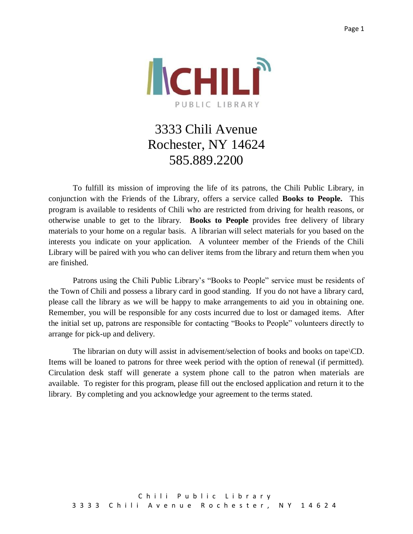

## 3333 Chili Avenue Rochester, NY 14624 585.889.2200

To fulfill its mission of improving the life of its patrons, the Chili Public Library, in conjunction with the Friends of the Library, offers a service called **Books to People.** This program is available to residents of Chili who are restricted from driving for health reasons, or otherwise unable to get to the library. **Books to People** provides free delivery of library materials to your home on a regular basis. A librarian will select materials for you based on the interests you indicate on your application. A volunteer member of the Friends of the Chili Library will be paired with you who can deliver items from the library and return them when you are finished.

Patrons using the Chili Public Library's "Books to People" service must be residents of the Town of Chili and possess a library card in good standing. If you do not have a library card, please call the library as we will be happy to make arrangements to aid you in obtaining one. Remember, you will be responsible for any costs incurred due to lost or damaged items. After the initial set up, patrons are responsible for contacting "Books to People" volunteers directly to arrange for pick-up and delivery.

The librarian on duty will assist in advisement/selection of books and books on tape\CD. Items will be loaned to patrons for three week period with the option of renewal (if permitted). Circulation desk staff will generate a system phone call to the patron when materials are available. To register for this program, please fill out the enclosed application and return it to the library. By completing and you acknowledge your agreement to the terms stated.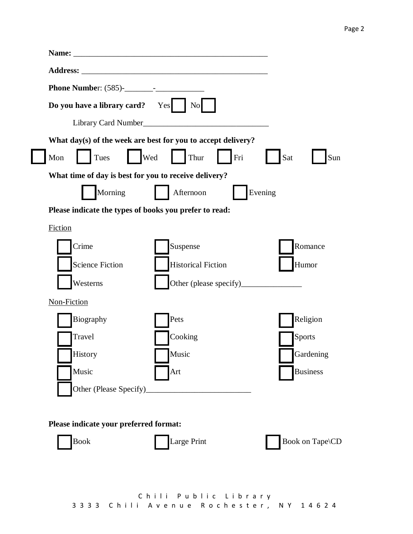| Do you have a library card?                            | Yes<br>N <sub>0</sub>                                        |                 |
|--------------------------------------------------------|--------------------------------------------------------------|-----------------|
|                                                        |                                                              |                 |
|                                                        | What day(s) of the week are best for you to accept delivery? |                 |
| Tues<br>Mon                                            | $\vert$ $\vert$ Wed<br>Thur<br>Fri                           | Sat<br>Sun      |
| What time of day is best for you to receive delivery?  |                                                              |                 |
| Morning                                                | Afternoon                                                    | Evening         |
| Please indicate the types of books you prefer to read: |                                                              |                 |
| Fiction                                                |                                                              |                 |
| Crime                                                  | Suspense                                                     | Romance         |
| <b>Science Fiction</b>                                 | <b>Historical Fiction</b>                                    | Humor           |
| Westerns                                               |                                                              |                 |
| Non-Fiction                                            |                                                              |                 |
| Biography                                              | Pets                                                         | Religion        |
| Travel                                                 | Cooking                                                      | Sports          |
| History                                                | Music                                                        | Gardening       |
| Music                                                  | Art                                                          | <b>Business</b> |
| Other (Please Specify)                                 |                                                              |                 |
|                                                        |                                                              |                 |
| Please indicate your preferred format:                 |                                                              |                 |
| <b>Book</b>                                            | Large Print                                                  | Book on Tape\CD |
|                                                        |                                                              |                 |
|                                                        |                                                              |                 |